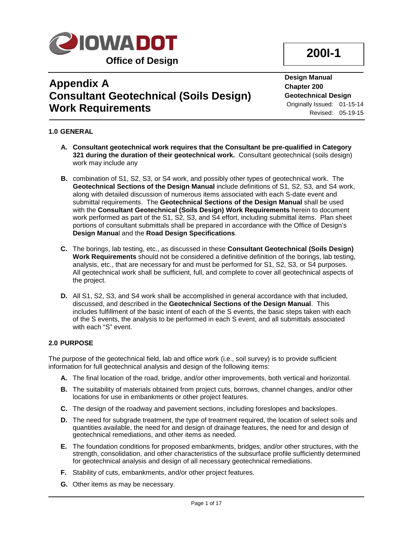

# **200I-1**

## **Appendix A Consultant Geotechnical (Soils Design) Work Requirements**

**Design Manual Chapter 200 Geotechnical Design** Originally Issued: 01-15-14 Revised: 05-19-15

## **1.0 GENERAL**

- **A. Consultant geotechnical work requires that the Consultant be pre-qualified in Category 321 during the duration of their geotechnical work.** Consultant geotechnical (soils design) work may include any
- **B.** combination of S1, S2, S3, or S4 work, and possibly other types of geotechnical work. The **Geotechnical Sections of the Design Manual** include definitions of S1, S2, S3, and S4 work, along with detailed discussion of numerous items associated with each S-date event and submittal requirements. The **Geotechnical Sections of the Design Manual** shall be used with the **Consultant Geotechnical (Soils Design) Work Requirements** herein to document work performed as part of the S1, S2, S3, and S4 effort, including submittal items. Plan sheet portions of consultant submittals shall be prepared in accordance with the Office of Design's **Design Manua**l and the **Road Design Specifications**.
- **C.** The borings, lab testing, etc., as discussed in these **Consultant Geotechnical (Soils Design) Work Requirements** should not be considered a definitive definition of the borings, lab testing, analysis, etc., that are necessary for and must be performed for S1, S2, S3, or S4 purposes. All geotechnical work shall be sufficient, full, and complete to cover all geotechnical aspects of the project.
- **D.** All S1, S2, S3, and S4 work shall be accomplished in general accordance with that included, discussed, and described in the **Geotechnical Sections of the Design Manual**. This includes fulfillment of the basic intent of each of the S events, the basic steps taken with each of the S events, the analysis to be performed in each S event, and all submittals associated with each "S" event.

#### **2.0 PURPOSE**

The purpose of the geotechnical field, lab and office work (i.e., soil survey) is to provide sufficient information for full geotechnical analysis and design of the following items:

- **A.** The final location of the road, bridge, and/or other improvements, both vertical and horizontal.
- **B.** The suitability of materials obtained from project cuts, borrows, channel changes, and/or other locations for use in embankments or other project features.
- **C.** The design of the roadway and pavement sections, including foreslopes and backslopes.
- **D.** The need for subgrade treatment, the type of treatment required, the location of select soils and quantities available, the need for and design of drainage features, the need for and design of geotechnical remediations, and other items as needed.
- **E.** The foundation conditions for proposed embankments, bridges, and/or other structures, with the strength, consolidation, and other characteristics of the subsurface profile sufficiently determined for geotechnical analysis and design of all necessary geotechnical remediations.
- **F.** Stability of cuts, embankments, and/or other project features.
- **G.** Other items as may be necessary.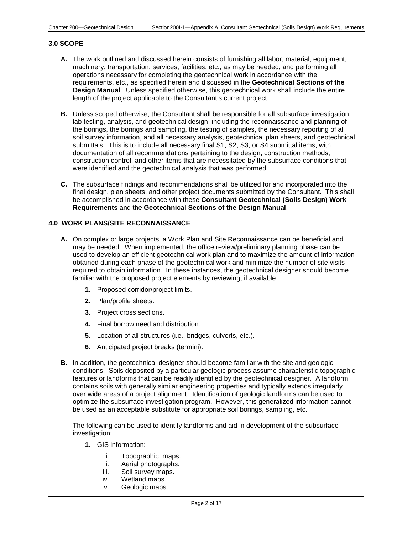#### **3.0 SCOPE**

- **A.** The work outlined and discussed herein consists of furnishing all labor, material, equipment, machinery, transportation, services, facilities, etc., as may be needed, and performing all operations necessary for completing the geotechnical work in accordance with the requirements, etc., as specified herein and discussed in the **Geotechnical Sections of the Design Manual**. Unless specified otherwise, this geotechnical work shall include the entire length of the project applicable to the Consultant's current project.
- **B.** Unless scoped otherwise, the Consultant shall be responsible for all subsurface investigation, lab testing, analysis, and geotechnical design, including the reconnaissance and planning of the borings, the borings and sampling, the testing of samples, the necessary reporting of all soil survey information, and all necessary analysis, geotechnical plan sheets, and geotechnical submittals. This is to include all necessary final S1, S2, S3, or S4 submittal items, with documentation of all recommendations pertaining to the design, construction methods, construction control, and other items that are necessitated by the subsurface conditions that were identified and the geotechnical analysis that was performed.
- **C.** The subsurface findings and recommendations shall be utilized for and incorporated into the final design, plan sheets, and other project documents submitted by the Consultant. This shall be accomplished in accordance with these **Consultant Geotechnical (Soils Design) Work Requirements** and the **Geotechnical Sections of the Design Manual**.

#### **4.0 WORK PLANS/SITE RECONNAISSANCE**

- **A.** On complex or large projects, a Work Plan and Site Reconnaissance can be beneficial and may be needed. When implemented, the office review/preliminary planning phase can be used to develop an efficient geotechnical work plan and to maximize the amount of information obtained during each phase of the geotechnical work and minimize the number of site visits required to obtain information. In these instances, the geotechnical designer should become familiar with the proposed project elements by reviewing, if available:
	- **1.** Proposed corridor/project limits.
	- **2.** Plan/profile sheets.
	- **3.** Project cross sections.
	- **4.** Final borrow need and distribution.
	- **5.** Location of all structures (i.e., bridges, culverts, etc.).
	- **6.** Anticipated project breaks (termini).
- **B.** In addition, the geotechnical designer should become familiar with the site and geologic conditions. Soils deposited by a particular geologic process assume characteristic topographic features or landforms that can be readily identified by the geotechnical designer. A landform contains soils with generally similar engineering properties and typically extends irregularly over wide areas of a project alignment. Identification of geologic landforms can be used to optimize the subsurface investigation program. However, this generalized information cannot be used as an acceptable substitute for appropriate soil borings, sampling, etc.

The following can be used to identify landforms and aid in development of the subsurface investigation:

- **1.** GIS information:
	- i. Topographic maps.<br>ii. Aerial photographs.
	- Aerial photographs.
	- iii. Soil survey maps.
	- iv. Wetland maps.
	- v. Geologic maps.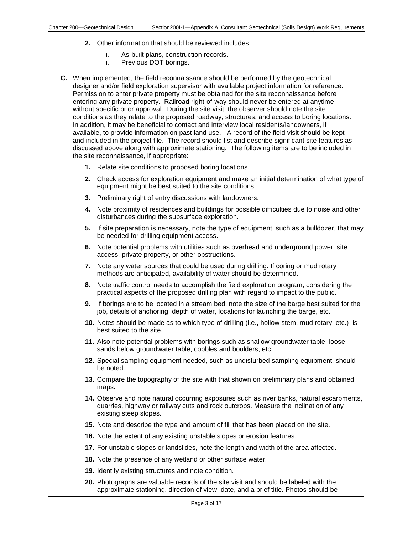- **2.** Other information that should be reviewed includes:
	- i. As-built plans, construction records.
	- ii. Previous DOT borings.
- **C.** When implemented, the field reconnaissance should be performed by the geotechnical designer and/or field exploration supervisor with available project information for reference. Permission to enter private property must be obtained for the site reconnaissance before entering any private property. Railroad right-of-way should never be entered at anytime without specific prior approval. During the site visit, the observer should note the site conditions as they relate to the proposed roadway, structures, and access to boring locations. In addition, it may be beneficial to contact and interview local residents/landowners, if available, to provide information on past land use. A record of the field visit should be kept and included in the project file. The record should list and describe significant site features as discussed above along with approximate stationing. The following items are to be included in the site reconnaissance, if appropriate:
	- **1.** Relate site conditions to proposed boring locations.
	- **2.** Check access for exploration equipment and make an initial determination of what type of equipment might be best suited to the site conditions.
	- **3.** Preliminary right of entry discussions with landowners.
	- **4.** Note proximity of residences and buildings for possible difficulties due to noise and other disturbances during the subsurface exploration.
	- **5.** If site preparation is necessary, note the type of equipment, such as a bulldozer, that may be needed for drilling equipment access.
	- **6.** Note potential problems with utilities such as overhead and underground power, site access, private property, or other obstructions.
	- **7.** Note any water sources that could be used during drilling. If coring or mud rotary methods are anticipated, availability of water should be determined.
	- **8.** Note traffic control needs to accomplish the field exploration program, considering the practical aspects of the proposed drilling plan with regard to impact to the public.
	- **9.** If borings are to be located in a stream bed, note the size of the barge best suited for the job, details of anchoring, depth of water, locations for launching the barge, etc.
	- **10.** Notes should be made as to which type of drilling (i.e., hollow stem, mud rotary, etc.) is best suited to the site.
	- **11.** Also note potential problems with borings such as shallow groundwater table, loose sands below groundwater table, cobbles and boulders, etc.
	- **12.** Special sampling equipment needed, such as undisturbed sampling equipment, should be noted.
	- **13.** Compare the topography of the site with that shown on preliminary plans and obtained maps.
	- **14.** Observe and note natural occurring exposures such as river banks, natural escarpments, quarries, highway or railway cuts and rock outcrops. Measure the inclination of any existing steep slopes.
	- **15.** Note and describe the type and amount of fill that has been placed on the site.
	- **16.** Note the extent of any existing unstable slopes or erosion features.
	- **17.** For unstable slopes or landslides, note the length and width of the area affected.
	- **18.** Note the presence of any wetland or other surface water.
	- **19.** Identify existing structures and note condition.
	- **20.** Photographs are valuable records of the site visit and should be labeled with the approximate stationing, direction of view, date, and a brief title. Photos should be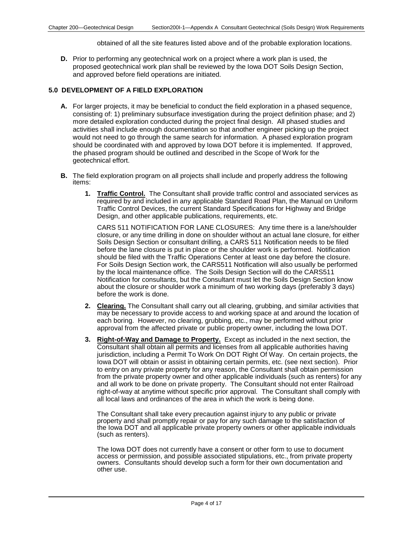obtained of all the site features listed above and of the probable exploration locations.

**D.** Prior to performing any geotechnical work on a project where a work plan is used, the proposed geotechnical work plan shall be reviewed by the Iowa DOT Soils Design Section, and approved before field operations are initiated.

#### **5.0 DEVELOPMENT OF A FIELD EXPLORATION**

- **A.** For larger projects, it may be beneficial to conduct the field exploration in a phased sequence, consisting of: 1) preliminary subsurface investigation during the project definition phase; and 2) more detailed exploration conducted during the project final design. All phased studies and activities shall include enough documentation so that another engineer picking up the project would not need to go through the same search for information. A phased exploration program should be coordinated with and approved by Iowa DOT before it is implemented. If approved, the phased program should be outlined and described in the Scope of Work for the geotechnical effort.
- **B.** The field exploration program on all projects shall include and properly address the following items:
	- **1. Traffic Control.** The Consultant shall provide traffic control and associated services as required by and included in any applicable Standard Road Plan, the Manual on Uniform Traffic Control Devices, the current Standard Specifications for Highway and Bridge Design, and other applicable publications, requirements, etc.

CARS 511 NOTIFICATION FOR LANE CLOSURES: Any time there is a lane/shoulder closure, or any time drilling in done on shoulder without an actual lane closure, for either Soils Design Section or consultant drilling, a CARS 511 Notification needs to be filed before the lane closure is put in place or the shoulder work is performed. Notification should be filed with the Traffic Operations Center at least one day before the closure. For Soils Design Section work, the CARS511 Notification will also usually be performed by the local maintenance office. The Soils Design Section will do the CARS511 Notification for consultants, but the Consultant must let the Soils Design Section know about the closure or shoulder work a minimum of two working days (preferably 3 days) before the work is done.

- **2. Clearing.** The Consultant shall carry out all clearing, grubbing, and similar activities that may be necessary to provide access to and working space at and around the location of each boring. However, no clearing, grubbing, etc., may be performed without prior approval from the affected private or public property owner, including the Iowa DOT.
- **3. Right-of-Way and Damage to Property.** Except as included in the next section, the Consultant shall obtain all permits and licenses from all applicable authorities having jurisdiction, including a Permit To Work On DOT Right Of Way. On certain projects, the Iowa DOT will obtain or assist in obtaining certain permits, etc. (see next section). Prior to entry on any private property for any reason, the Consultant shall obtain permission from the private property owner and other applicable individuals (such as renters) for any and all work to be done on private property. The Consultant should not enter Railroad right-of-way at anytime without specific prior approval. The Consultant shall comply with all local laws and ordinances of the area in which the work is being done.

The Consultant shall take every precaution against injury to any public or private property and shall promptly repair or pay for any such damage to the satisfaction of the Iowa DOT and all applicable private property owners or other applicable individuals (such as renters).

The Iowa DOT does not currently have a consent or other form to use to document access or permission, and possible associated stipulations, etc., from private property owners. Consultants should develop such a form for their own documentation and other use.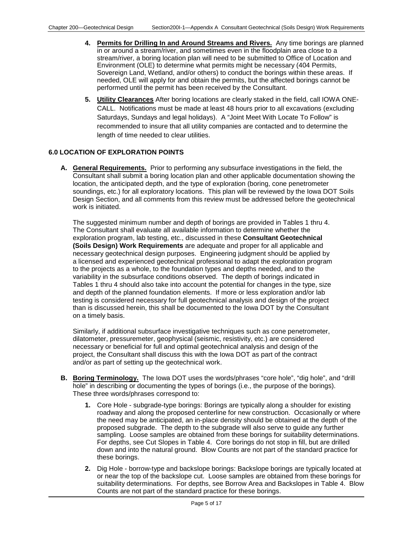- **4. Permits for Drilling In and Around Streams and Rivers.** Any time borings are planned in or around a stream/river, and sometimes even in the floodplain area close to a stream/river, a boring location plan will need to be submitted to Office of Location and Environment (OLE) to determine what permits might be necessary (404 Permits, Sovereign Land, Wetland, and/or others) to conduct the borings within these areas. If needed, OLE will apply for and obtain the permits, but the affected borings cannot be performed until the permit has been received by the Consultant.
- **5. Utility Clearances** After boring locations are clearly staked in the field, call IOWA ONE-CALL. Notifications must be made at least 48 hours prior to all excavations (excluding Saturdays, Sundays and legal holidays). A "Joint Meet With Locate To Follow" is recommended to insure that all utility companies are contacted and to determine the length of time needed to clear utilities.

## **6.0 LOCATION OF EXPLORATION POINTS**

**A. General Requirements.** Prior to performing any subsurface investigations in the field, the Consultant shall submit a boring location plan and other applicable documentation showing the location, the anticipated depth, and the type of exploration (boring, cone penetrometer soundings, etc.) for all exploratory locations. This plan will be reviewed by the Iowa DOT Soils Design Section, and all comments from this review must be addressed before the geotechnical work is initiated.

The suggested minimum number and depth of borings are provided in Tables 1 thru 4. The Consultant shall evaluate all available information to determine whether the exploration program, lab testing, etc., discussed in these **Consultant Geotechnical (Soils Design) Work Requirements** are adequate and proper for all applicable and necessary geotechnical design purposes. Engineering judgment should be applied by a licensed and experienced geotechnical professional to adapt the exploration program to the projects as a whole, to the foundation types and depths needed, and to the variability in the subsurface conditions observed. The depth of borings indicated in Tables 1 thru 4 should also take into account the potential for changes in the type, size and depth of the planned foundation elements. If more or less exploration and/or lab testing is considered necessary for full geotechnical analysis and design of the project than is discussed herein, this shall be documented to the Iowa DOT by the Consultant on a timely basis.

Similarly, if additional subsurface investigative techniques such as cone penetrometer, dilatometer, pressuremeter, geophysical (seismic, resistivity, etc.) are considered necessary or beneficial for full and optimal geotechnical analysis and design of the project, the Consultant shall discuss this with the Iowa DOT as part of the contract and/or as part of setting up the geotechnical work.

- **B. Boring Terminology.** The Iowa DOT uses the words/phrases "core hole", "dig hole", and "drill hole" in describing or documenting the types of borings (i.e., the purpose of the borings). These three words/phrases correspond to:
	- **1.** Core Hole subgrade-type borings: Borings are typically along a shoulder for existing roadway and along the proposed centerline for new construction. Occasionally or where the need may be anticipated, an in-place density should be obtained at the depth of the proposed subgrade. The depth to the subgrade will also serve to guide any further sampling. Loose samples are obtained from these borings for suitability determinations. For depths, see Cut Slopes in Table 4. Core borings do not stop in fill, but are drilled down and into the natural ground. Blow Counts are not part of the standard practice for these borings.
	- **2.** Dig Hole borrow-type and backslope borings: Backslope borings are typically located at or near the top of the backslope cut. Loose samples are obtained from these borings for suitability determinations. For depths, see Borrow Area and Backslopes in Table 4. Blow Counts are not part of the standard practice for these borings.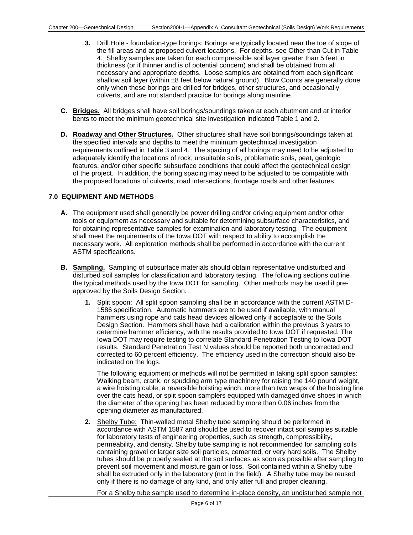- **3.** Drill Hole foundation-type borings: Borings are typically located near the toe of slope of the fill areas and at proposed culvert locations. For depths, see Other than Cut in Table 4. Shelby samples are taken for each compressible soil layer greater than 5 feet in thickness (or if thinner and is of potential concern) and shall be obtained from all necessary and appropriate depths. Loose samples are obtained from each significant shallow soil layer (within  $±8$  feet below natural ground). Blow Counts are generally done only when these borings are drilled for bridges, other structures, and occasionally culverts, and are not standard practice for borings along mainline.
- **C. Bridges.** All bridges shall have soil borings/soundings taken at each abutment and at interior bents to meet the minimum geotechnical site investigation indicated Table 1 and 2.
- **D. Roadway and Other Structures.** Other structures shall have soil borings/soundings taken at the specified intervals and depths to meet the minimum geotechnical investigation requirements outlined in Table 3 and 4. The spacing of all borings may need to be adjusted to adequately identify the locations of rock, unsuitable soils, problematic soils, peat, geologic features, and/or other specific subsurface conditions that could affect the geotechnical design of the project. In addition, the boring spacing may need to be adjusted to be compatible with the proposed locations of culverts, road intersections, frontage roads and other features.

## **7.0 EQUIPMENT AND METHODS**

- **A.** The equipment used shall generally be power drilling and/or driving equipment and/or other tools or equipment as necessary and suitable for determining subsurface characteristics, and for obtaining representative samples for examination and laboratory testing. The equipment shall meet the requirements of the Iowa DOT with respect to ability to accomplish the necessary work. All exploration methods shall be performed in accordance with the current ASTM specifications.
- **B. Sampling.** Sampling of subsurface materials should obtain representative undisturbed and disturbed soil samples for classification and laboratory testing. The following sections outline the typical methods used by the Iowa DOT for sampling. Other methods may be used if preapproved by the Soils Design Section.
	- **1.** Split spoon: All split spoon sampling shall be in accordance with the current ASTM D-1586 specification. Automatic hammers are to be used if available, with manual hammers using rope and cats head devices allowed only if acceptable to the Soils Design Section. Hammers shall have had a calibration within the previous 3 years to determine hammer efficiency, with the results provided to Iowa DOT if requested. The Iowa DOT may require testing to correlate Standard Penetration Testing to Iowa DOT results. Standard Penetration Test N values should be reported both uncorrected and corrected to 60 percent efficiency. The efficiency used in the correction should also be indicated on the logs.

The following equipment or methods will not be permitted in taking split spoon samples: Walking beam, crank, or spudding arm type machinery for raising the 140 pound weight, a wire hoisting cable, a reversible hoisting winch, more than two wraps of the hoisting line over the cats head, or split spoon samplers equipped with damaged drive shoes in which the diameter of the opening has been reduced by more than 0.06 inches from the opening diameter as manufactured.

**2.** Shelby Tube: Thin-walled metal Shelby tube sampling should be performed in accordance with ASTM 1587 and should be used to recover intact soil samples suitable for laboratory tests of engineering properties, such as strength, compressibility, permeability, and density. Shelby tube sampling is not recommended for sampling soils containing gravel or larger size soil particles, cemented, or very hard soils. The Shelby tubes should be properly sealed at the soil surfaces as soon as possible after sampling to prevent soil movement and moisture gain or loss. Soil contained within a Shelby tube shall be extruded only in the laboratory (not in the field). A Shelby tube may be reused only if there is no damage of any kind, and only after full and proper cleaning.

For a Shelby tube sample used to determine in-place density, an undisturbed sample not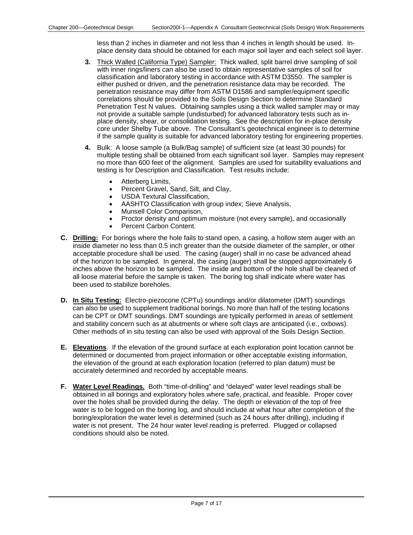less than 2 inches in diameter and not less than 4 inches in length should be used. Inplace density data should be obtained for each major soil layer and each select soil layer.

- **3.** Thick Walled (California Type) Sampler: Thick walled, split barrel drive sampling of soil with inner rings/liners can also be used to obtain representative samples of soil for classification and laboratory testing in accordance with ASTM D3550. The sampler is either pushed or driven, and the penetration resistance data may be recorded. The penetration resistance may differ from ASTM D1586 and sampler/equipment specific correlations should be provided to the Soils Design Section to determine Standard Penetration Test N values. Obtaining samples using a thick walled sampler may or may not provide a suitable sample (undisturbed) for advanced laboratory tests such as inplace density, shear, or consolidation testing. See the description for in-place density core under Shelby Tube above. The Consultant's geotechnical engineer is to determine if the sample quality is suitable for advanced laboratory testing for engineering properties.
- **4.** Bulk: A loose sample (a Bulk/Bag sample) of sufficient size (at least 30 pounds) for multiple testing shall be obtained from each significant soil layer. Samples may represent no more than 600 feet of the alignment. Samples are used for suitability evaluations and testing is for Description and Classification. Test results include:
	- Atterberg Limits,
	- Percent Gravel, Sand, Silt, and Clay,
	- USDA Textural Classification,
	- AASHTO Classification with group index; Sieve Analysis,
	- Munsell Color Comparison,
	- Proctor density and optimum moisture (not every sample), and occasionally
	- Percent Carbon Content.
- **C. Drilling:** For borings where the hole fails to stand open, a casing, a hollow stem auger with an inside diameter no less than 0.5 inch greater than the outside diameter of the sampler, or other acceptable procedure shall be used. The casing (auger) shall in no case be advanced ahead of the horizon to be sampled. In general, the casing (auger) shall be stopped approximately 6 inches above the horizon to be sampled. The inside and bottom of the hole shall be cleaned of all loose material before the sample is taken. The boring log shall indicate where water has been used to stabilize boreholes.
- **D. In Situ Testing:** Electro-piezocone (CPTu) soundings and/or dilatometer (DMT) soundings can also be used to supplement traditional borings. No more than half of the testing locations can be CPT or DMT soundings. DMT soundings are typically performed in areas of settlement and stability concern such as at abutments or where soft clays are anticipated (i.e., oxbows). Other methods of in situ testing can also be used with approval of the Soils Design Section.
- **E. Elevations**. If the elevation of the ground surface at each exploration point location cannot be determined or documented from project information or other acceptable existing information, the elevation of the ground at each exploration location (referred to plan datum) must be accurately determined and recorded by acceptable means.
- **F. Water Level Readings.** Both "time-of-drilling" and "delayed" water level readings shall be obtained in all borings and exploratory holes where safe, practical, and feasible. Proper cover over the holes shall be provided during the delay. The depth or elevation of the top of free water is to be logged on the boring log, and should include at what hour after completion of the boring/exploration the water level is determined (such as 24 hours after drilling), including if water is not present. The 24 hour water level reading is preferred. Plugged or collapsed conditions should also be noted.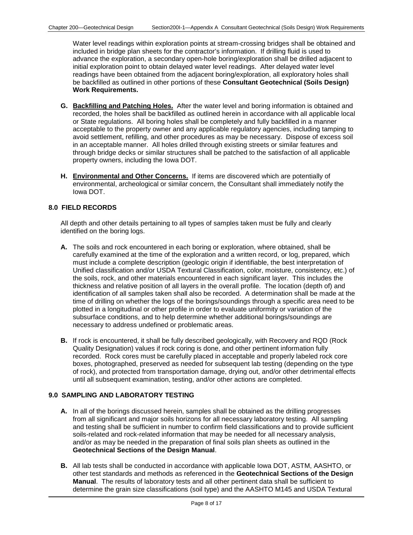Water level readings within exploration points at stream-crossing bridges shall be obtained and included in bridge plan sheets for the contractor's information. If drilling fluid is used to advance the exploration, a secondary open-hole boring/exploration shall be drilled adjacent to initial exploration point to obtain delayed water level readings. After delayed water level readings have been obtained from the adjacent boring/exploration, all exploratory holes shall be backfilled as outlined in other portions of these **Consultant Geotechnical (Soils Design) Work Requirements.**

- **G. Backfilling and Patching Holes.** After the water level and boring information is obtained and recorded, the holes shall be backfilled as outlined herein in accordance with all applicable local or State regulations. All boring holes shall be completely and fully backfilled in a manner acceptable to the property owner and any applicable regulatory agencies, including tamping to avoid settlement, refilling, and other procedures as may be necessary. Dispose of excess soil in an acceptable manner. All holes drilled through existing streets or similar features and through bridge decks or similar structures shall be patched to the satisfaction of all applicable property owners, including the Iowa DOT.
- **H. Environmental and Other Concerns.** If items are discovered which are potentially of environmental, archeological or similar concern, the Consultant shall immediately notify the Iowa DOT.

## **8.0 FIELD RECORDS**

All depth and other details pertaining to all types of samples taken must be fully and clearly identified on the boring logs.

- **A.** The soils and rock encountered in each boring or exploration, where obtained, shall be carefully examined at the time of the exploration and a written record, or log, prepared, which must include a complete description (geologic origin if identifiable, the best interpretation of Unified classification and/or USDA Textural Classification, color, moisture, consistency, etc.) of the soils, rock, and other materials encountered in each significant layer. This includes the thickness and relative position of all layers in the overall profile. The location (depth of) and identification of all samples taken shall also be recorded. A determination shall be made at the time of drilling on whether the logs of the borings/soundings through a specific area need to be plotted in a longitudinal or other profile in order to evaluate uniformity or variation of the subsurface conditions, and to help determine whether additional borings/soundings are necessary to address undefined or problematic areas.
- **B.** If rock is encountered, it shall be fully described geologically, with Recovery and RQD (Rock Quality Designation) values if rock coring is done, and other pertinent information fully recorded. Rock cores must be carefully placed in acceptable and properly labeled rock core boxes, photographed, preserved as needed for subsequent lab testing (depending on the type of rock), and protected from transportation damage, drying out, and/or other detrimental effects until all subsequent examination, testing, and/or other actions are completed.

## **9.0 SAMPLING AND LABORATORY TESTING**

- **A.** In all of the borings discussed herein, samples shall be obtained as the drilling progresses from all significant and major soils horizons for all necessary laboratory testing. All sampling and testing shall be sufficient in number to confirm field classifications and to provide sufficient soils-related and rock-related information that may be needed for all necessary analysis, and/or as may be needed in the preparation of final soils plan sheets as outlined in the **Geotechnical Sections of the Design Manual**.
- **B.** All lab tests shall be conducted in accordance with applicable Iowa DOT, ASTM, AASHTO, or other test standards and methods as referenced in the **Geotechnical Sections of the Design Manual**. The results of laboratory tests and all other pertinent data shall be sufficient to determine the grain size classifications (soil type) and the AASHTO M145 and USDA Textural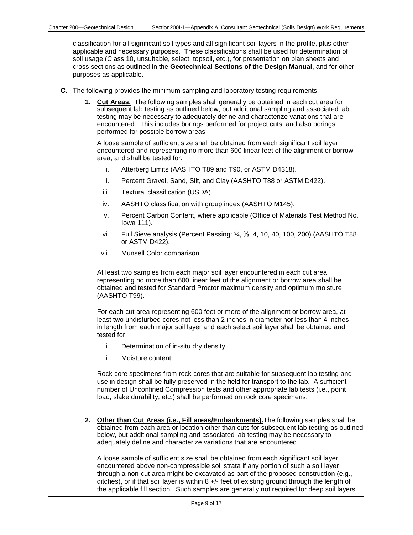classification for all significant soil types and all significant soil layers in the profile, plus other applicable and necessary purposes. These classifications shall be used for determination of soil usage (Class 10, unsuitable, select, topsoil, etc.), for presentation on plan sheets and cross sections as outlined in the **Geotechnical Sections of the Design Manual**, and for other purposes as applicable.

- **C.** The following provides the minimum sampling and laboratory testing requirements:
	- **1. Cut Areas.** The following samples shall generally be obtained in each cut area for subsequent lab testing as outlined below, but additional sampling and associated lab testing may be necessary to adequately define and characterize variations that are encountered. This includes borings performed for project cuts, and also borings performed for possible borrow areas.

A loose sample of sufficient size shall be obtained from each significant soil layer encountered and representing no more than 600 linear feet of the alignment or borrow area, and shall be tested for:

- i. Atterberg Limits (AASHTO T89 and T90, or ASTM D4318).
- ii. Percent Gravel, Sand, Silt, and Clay (AASHTO T88 or ASTM D422).
- iii. Textural classification (USDA).
- iv. AASHTO classification with group index (AASHTO M145).
- v. Percent Carbon Content, where applicable (Office of Materials Test Method No. Iowa 111).
- vi. Full Sieve analysis (Percent Passing: ¾, ⅜, 4, 10, 40, 100, 200) (AASHTO T88 or ASTM D422).
- vii. Munsell Color comparison.

At least two samples from each major soil layer encountered in each cut area representing no more than 600 linear feet of the alignment or borrow area shall be obtained and tested for Standard Proctor maximum density and optimum moisture (AASHTO T99).

For each cut area representing 600 feet or more of the alignment or borrow area, at least two undisturbed cores not less than 2 inches in diameter nor less than 4 inches in length from each major soil layer and each select soil layer shall be obtained and tested for:

- i. Determination of in-situ dry density.
- ii. Moisture content.

Rock core specimens from rock cores that are suitable for subsequent lab testing and use in design shall be fully preserved in the field for transport to the lab. A sufficient number of Unconfined Compression tests and other appropriate lab tests (i.e., point load, slake durability, etc.) shall be performed on rock core specimens.

**2. Other than Cut Areas (i.e., Fill areas/Embankments).**The following samples shall be obtained from each area or location other than cuts for subsequent lab testing as outlined below, but additional sampling and associated lab testing may be necessary to adequately define and characterize variations that are encountered.

A loose sample of sufficient size shall be obtained from each significant soil layer encountered above non-compressible soil strata if any portion of such a soil layer through a non-cut area might be excavated as part of the proposed construction (e.g., ditches), or if that soil layer is within 8 +/- feet of existing ground through the length of the applicable fill section. Such samples are generally not required for deep soil layers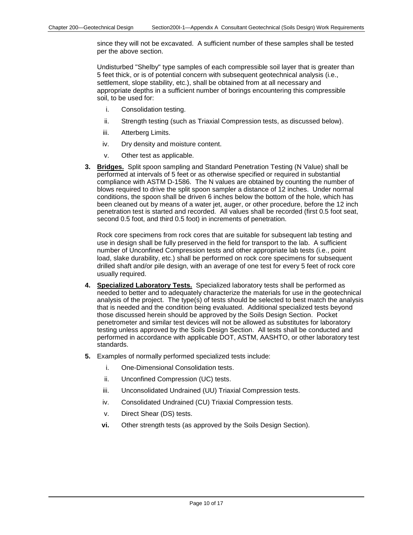since they will not be excavated. A sufficient number of these samples shall be tested per the above section.

Undisturbed "Shelby" type samples of each compressible soil layer that is greater than 5 feet thick, or is of potential concern with subsequent geotechnical analysis (i.e., settlement, slope stability, etc.), shall be obtained from at all necessary and appropriate depths in a sufficient number of borings encountering this compressible soil, to be used for:

- i. Consolidation testing.
- ii. Strength testing (such as Triaxial Compression tests, as discussed below).
- iii. Atterberg Limits.
- iv. Dry density and moisture content.
- v. Other test as applicable.
- **3. Bridges.** Split spoon sampling and Standard Penetration Testing (N Value) shall be performed at intervals of 5 feet or as otherwise specified or required in substantial compliance with ASTM D-1586. The N values are obtained by counting the number of blows required to drive the split spoon sampler a distance of 12 inches. Under normal conditions, the spoon shall be driven 6 inches below the bottom of the hole, which has been cleaned out by means of a water jet, auger, or other procedure, before the 12 inch penetration test is started and recorded. All values shall be recorded (first 0.5 foot seat, second 0.5 foot, and third 0.5 foot) in increments of penetration.

Rock core specimens from rock cores that are suitable for subsequent lab testing and use in design shall be fully preserved in the field for transport to the lab. A sufficient number of Unconfined Compression tests and other appropriate lab tests (i.e., point load, slake durability, etc.) shall be performed on rock core specimens for subsequent drilled shaft and/or pile design, with an average of one test for every 5 feet of rock core usually required.

- **4. Specialized Laboratory Tests.** Specialized laboratory tests shall be performed as needed to better and to adequately characterize the materials for use in the geotechnical analysis of the project. The type(s) of tests should be selected to best match the analysis that is needed and the condition being evaluated. Additional specialized tests beyond those discussed herein should be approved by the Soils Design Section. Pocket penetrometer and similar test devices will not be allowed as substitutes for laboratory testing unless approved by the Soils Design Section. All tests shall be conducted and performed in accordance with applicable DOT, ASTM, AASHTO, or other laboratory test standards.
- **5.** Examples of normally performed specialized tests include:
	- i. One-Dimensional Consolidation tests.
	- ii. Unconfined Compression (UC) tests.
	- iii. Unconsolidated Undrained (UU) Triaxial Compression tests.
	- iv. Consolidated Undrained (CU) Triaxial Compression tests.
	- v. Direct Shear (DS) tests.
	- **vi.** Other strength tests (as approved by the Soils Design Section).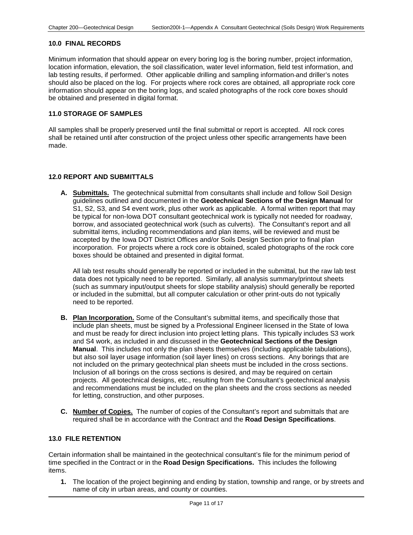## **10.0 FINAL RECORDS**

Minimum information that should appear on every boring log is the boring number, project information, location information, elevation, the soil classification, water level information, field test information, and lab testing results, if performed. Other applicable drilling and sampling information and driller's notes should also be placed on the log. For projects where rock cores are obtained, all appropriate rock core information should appear on the boring logs, and scaled photographs of the rock core boxes should be obtained and presented in digital format.

#### **11.0 STORAGE OF SAMPLES**

All samples shall be properly preserved until the final submittal or report is accepted. All rock cores shall be retained until after construction of the project unless other specific arrangements have been made.

#### **12.0 REPORT AND SUBMITTALS**

**A. Submittals.** The geotechnical submittal from consultants shall include and follow Soil Design guidelines outlined and documented in the **Geotechnical Sections of the Design Manual** for S1, S2, S3, and S4 event work, plus other work as applicable. A formal written report that may be typical for non-Iowa DOT consultant geotechnical work is typically not needed for roadway, borrow, and associated geotechnical work (such as culverts). The Consultant's report and all submittal items, including recommendations and plan items, will be reviewed and must be accepted by the Iowa DOT District Offices and/or Soils Design Section prior to final plan incorporation. For projects where a rock core is obtained, scaled photographs of the rock core boxes should be obtained and presented in digital format.

All lab test results should generally be reported or included in the submittal, but the raw lab test data does not typically need to be reported. Similarly, all analysis summary/printout sheets (such as summary input/output sheets for slope stability analysis) should generally be reported or included in the submittal, but all computer calculation or other print-outs do not typically need to be reported.

- **B. Plan Incorporation.** Some of the Consultant's submittal items, and specifically those that include plan sheets, must be signed by a Professional Engineer licensed in the State of Iowa and must be ready for direct inclusion into project letting plans. This typically includes S3 work and S4 work, as included in and discussed in the **Geotechnical Sections of the Design Manual**. This includes not only the plan sheets themselves (including applicable tabulations), but also soil layer usage information (soil layer lines) on cross sections. Any borings that are not included on the primary geotechnical plan sheets must be included in the cross sections. Inclusion of all borings on the cross sections is desired, and may be required on certain projects. All geotechnical designs, etc., resulting from the Consultant's geotechnical analysis and recommendations must be included on the plan sheets and the cross sections as needed for letting, construction, and other purposes.
- **C. Number of Copies.** The number of copies of the Consultant's report and submittals that are required shall be in accordance with the Contract and the **Road Design Specifications**.

#### **13.0 FILE RETENTION**

Certain information shall be maintained in the geotechnical consultant's file for the minimum period of time specified in the Contract or in the **Road Design Specifications.** This includes the following items.

**1.** The location of the project beginning and ending by station, township and range, or by streets and name of city in urban areas, and county or counties.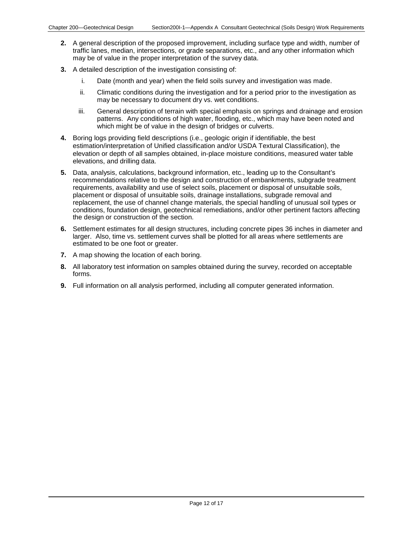- **2.** A general description of the proposed improvement, including surface type and width, number of traffic lanes, median, intersections, or grade separations, etc., and any other information which may be of value in the proper interpretation of the survey data.
- **3.** A detailed description of the investigation consisting of:
	- i. Date (month and year) when the field soils survey and investigation was made.
	- ii. Climatic conditions during the investigation and for a period prior to the investigation as may be necessary to document dry vs. wet conditions.
	- iii. General description of terrain with special emphasis on springs and drainage and erosion patterns. Any conditions of high water, flooding, etc., which may have been noted and which might be of value in the design of bridges or culverts.
- **4.** Boring logs providing field descriptions (i.e., geologic origin if identifiable, the best estimation/interpretation of Unified classification and/or USDA Textural Classification), the elevation or depth of all samples obtained, in-place moisture conditions, measured water table elevations, and drilling data.
- **5.** Data, analysis, calculations, background information, etc., leading up to the Consultant's recommendations relative to the design and construction of embankments, subgrade treatment requirements, availability and use of select soils, placement or disposal of unsuitable soils, placement or disposal of unsuitable soils, drainage installations, subgrade removal and replacement, the use of channel change materials, the special handling of unusual soil types or conditions, foundation design, geotechnical remediations, and/or other pertinent factors affecting the design or construction of the section.
- **6.** Settlement estimates for all design structures, including concrete pipes 36 inches in diameter and larger. Also, time vs. settlement curves shall be plotted for all areas where settlements are estimated to be one foot or greater.
- **7.** A map showing the location of each boring.
- **8.** All laboratory test information on samples obtained during the survey, recorded on acceptable forms.
- **9.** Full information on all analysis performed, including all computer generated information.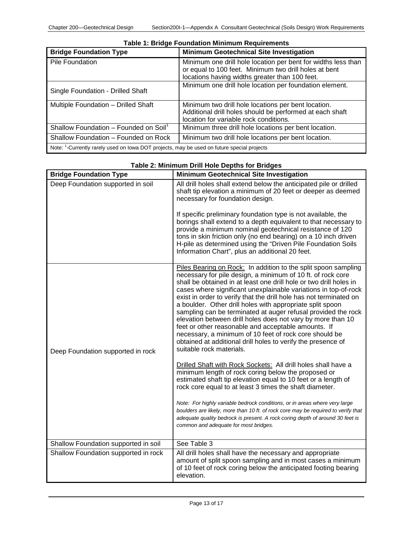| <b>Bridge Foundation Type</b>                                                                          | <b>Minimum Geotechnical Site Investigation</b>                                                                                                            |
|--------------------------------------------------------------------------------------------------------|-----------------------------------------------------------------------------------------------------------------------------------------------------------|
| Pile Foundation                                                                                        | Minimum one drill hole location per bent for widths less than<br>or equal to 100 feet. Minimum two drill holes at bent                                    |
|                                                                                                        | locations having widths greater than 100 feet.                                                                                                            |
| Single Foundation - Drilled Shaft                                                                      | Minimum one drill hole location per foundation element.                                                                                                   |
| Multiple Foundation - Drilled Shaft                                                                    | Minimum two drill hole locations per bent location.<br>Additional drill holes should be performed at each shaft<br>location for variable rock conditions. |
| Shallow Foundation - Founded on Soil <sup>1</sup>                                                      | Minimum three drill hole locations per bent location.                                                                                                     |
| Shallow Foundation - Founded on Rock                                                                   | Minimum two drill hole locations per bent location.                                                                                                       |
| Note: <sup>1</sup> -Currently rarely used on lowa DOT projects, may be used on future special projects |                                                                                                                                                           |

#### **Table 1: Bridge Foundation Minimum Requirements**

| <b>Bridge Foundation Type</b>        | <b>Minimum Geotechnical Site Investigation</b>                                                                                                                                                                                                                                                                                                                                                                                                                                                                                                                                                                                                                                                                                                         |
|--------------------------------------|--------------------------------------------------------------------------------------------------------------------------------------------------------------------------------------------------------------------------------------------------------------------------------------------------------------------------------------------------------------------------------------------------------------------------------------------------------------------------------------------------------------------------------------------------------------------------------------------------------------------------------------------------------------------------------------------------------------------------------------------------------|
| Deep Foundation supported in soil    | All drill holes shall extend below the anticipated pile or drilled<br>shaft tip elevation a minimum of 20 feet or deeper as deemed<br>necessary for foundation design.                                                                                                                                                                                                                                                                                                                                                                                                                                                                                                                                                                                 |
|                                      | If specific preliminary foundation type is not available, the<br>borings shall extend to a depth equivalent to that necessary to<br>provide a minimum nominal geotechnical resistance of 120<br>tons in skin friction only (no end bearing) on a 10 inch driven<br>H-pile as determined using the "Driven Pile Foundation Soils<br>Information Chart", plus an additional 20 feet.                                                                                                                                                                                                                                                                                                                                                                     |
| Deep Foundation supported in rock    | Piles Bearing on Rock: In addition to the split spoon sampling<br>necessary for pile design, a minimum of 10 ft. of rock core<br>shall be obtained in at least one drill hole or two drill holes in<br>cases where significant unexplainable variations in top-of-rock<br>exist in order to verify that the drill hole has not terminated on<br>a boulder. Other drill holes with appropriate split spoon<br>sampling can be terminated at auger refusal provided the rock<br>elevation between drill holes does not vary by more than 10<br>feet or other reasonable and acceptable amounts. If<br>necessary, a minimum of 10 feet of rock core should be<br>obtained at additional drill holes to verify the presence of<br>suitable rock materials. |
|                                      | Drilled Shaft with Rock Sockets: All drill holes shall have a<br>minimum length of rock coring below the proposed or<br>estimated shaft tip elevation equal to 10 feet or a length of<br>rock core equal to at least 3 times the shaft diameter.                                                                                                                                                                                                                                                                                                                                                                                                                                                                                                       |
|                                      | Note: For highly variable bedrock conditions, or in areas where very large<br>boulders are likely, more than 10 ft. of rock core may be required to verify that<br>adequate quality bedrock is present. A rock coring depth of around 30 feet is<br>common and adequate for most bridges.                                                                                                                                                                                                                                                                                                                                                                                                                                                              |
| Shallow Foundation supported in soil | See Table 3                                                                                                                                                                                                                                                                                                                                                                                                                                                                                                                                                                                                                                                                                                                                            |
| Shallow Foundation supported in rock | All drill holes shall have the necessary and appropriate<br>amount of split spoon sampling and in most cases a minimum<br>of 10 feet of rock coring below the anticipated footing bearing<br>elevation.                                                                                                                                                                                                                                                                                                                                                                                                                                                                                                                                                |

## **Table 2: Minimum Drill Hole Depths for Bridges**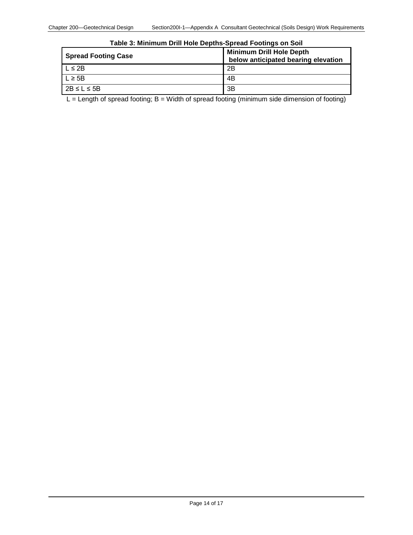| <b>Spread Footing Case</b> | <b>Minimum Drill Hole Depth</b><br>below anticipated bearing elevation |
|----------------------------|------------------------------------------------------------------------|
| $L \leq 2B$                | 2B                                                                     |
| $L \geq 5B$                | 4B                                                                     |
| $2B \le L \le 5B$          | 3B                                                                     |

 $L =$  Length of spread footing; B = Width of spread footing (minimum side dimension of footing)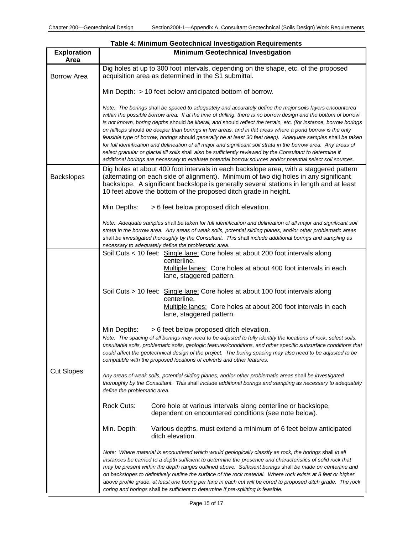| <b>Exploration</b><br>Area | <b>Minimum Geotechnical Investigation</b>                                                                                                                                                                                                                                                                                                                                                                                                                                                                                                                                                                                                                                                                                                                                                                                                                                                                                        |
|----------------------------|----------------------------------------------------------------------------------------------------------------------------------------------------------------------------------------------------------------------------------------------------------------------------------------------------------------------------------------------------------------------------------------------------------------------------------------------------------------------------------------------------------------------------------------------------------------------------------------------------------------------------------------------------------------------------------------------------------------------------------------------------------------------------------------------------------------------------------------------------------------------------------------------------------------------------------|
| Borrow Area                | Dig holes at up to 300 foot intervals, depending on the shape, etc. of the proposed<br>acquisition area as determined in the S1 submittal.                                                                                                                                                                                                                                                                                                                                                                                                                                                                                                                                                                                                                                                                                                                                                                                       |
|                            | Min Depth: > 10 feet below anticipated bottom of borrow.                                                                                                                                                                                                                                                                                                                                                                                                                                                                                                                                                                                                                                                                                                                                                                                                                                                                         |
|                            | Note: The borings shall be spaced to adequately and accurately define the major soils layers encountered<br>within the possible borrow area. If at the time of drilling, there is no borrow design and the bottom of borrow<br>is not known, boring depths should be liberal, and should reflect the terrain, etc. (for instance, borrow borings<br>on hilltops should be deeper than borings in low areas, and in flat areas where a pond borrow is the only<br>feasible type of borrow, borings should generally be at least 30 feet deep). Adequate samples shall be taken<br>for full identification and delineation of all major and significant soil strata in the borrow area. Any areas of<br>select granular or glacial till soils shall also be sufficiently reviewed by the Consultant to determine if<br>additional borings are necessary to evaluate potential borrow sources and/or potential select soil sources. |
| <b>Backslopes</b>          | Dig holes at about 400 foot intervals in each backslope area, with a staggered pattern<br>(alternating on each side of alignment). Minimum of two dig holes in any significant<br>backslope. A significant backslope is generally several stations in length and at least<br>10 feet above the bottom of the proposed ditch grade in height.                                                                                                                                                                                                                                                                                                                                                                                                                                                                                                                                                                                     |
|                            | Min Depths:<br>> 6 feet below proposed ditch elevation.                                                                                                                                                                                                                                                                                                                                                                                                                                                                                                                                                                                                                                                                                                                                                                                                                                                                          |
|                            | Note: Adequate samples shall be taken for full identification and delineation of all major and significant soil<br>strata in the borrow area. Any areas of weak soils, potential sliding planes, and/or other problematic areas<br>shall be investigated thoroughly by the Consultant. This shall include additional borings and sampling as<br>necessary to adequately define the problematic area.                                                                                                                                                                                                                                                                                                                                                                                                                                                                                                                             |
| <b>Cut Slopes</b>          | Soil Cuts < 10 feet: Single lane: Core holes at about 200 foot intervals along<br>centerline.                                                                                                                                                                                                                                                                                                                                                                                                                                                                                                                                                                                                                                                                                                                                                                                                                                    |
|                            | Multiple lanes: Core holes at about 400 foot intervals in each<br>lane, staggered pattern.                                                                                                                                                                                                                                                                                                                                                                                                                                                                                                                                                                                                                                                                                                                                                                                                                                       |
|                            | Soil Cuts > 10 feet: Single lane: Core holes at about 100 foot intervals along<br>centerline.<br>Multiple lanes: Core holes at about 200 foot intervals in each<br>lane, staggered pattern.                                                                                                                                                                                                                                                                                                                                                                                                                                                                                                                                                                                                                                                                                                                                      |
|                            | > 6 feet below proposed ditch elevation.<br>Min Depths:<br>Note: The spacing of all borings may need to be adjusted to fully identify the locations of rock, select soils,<br>unsuitable soils, problematic soils, geologic features/conditions, and other specific subsurface conditions that<br>could affect the geotechnical design of the project. The boring spacing may also need to be adjusted to be<br>compatible with the proposed locations of culverts and other features.                                                                                                                                                                                                                                                                                                                                                                                                                                           |
|                            | Any areas of weak soils, potential sliding planes, and/or other problematic areas shall be investigated<br>thoroughly by the Consultant. This shall include additional borings and sampling as necessary to adequately<br>define the problematic area.                                                                                                                                                                                                                                                                                                                                                                                                                                                                                                                                                                                                                                                                           |
|                            | <b>Rock Cuts:</b><br>Core hole at various intervals along centerline or backslope,<br>dependent on encountered conditions (see note below).                                                                                                                                                                                                                                                                                                                                                                                                                                                                                                                                                                                                                                                                                                                                                                                      |
|                            | Min. Depth:<br>Various depths, must extend a minimum of 6 feet below anticipated<br>ditch elevation.                                                                                                                                                                                                                                                                                                                                                                                                                                                                                                                                                                                                                                                                                                                                                                                                                             |
|                            | Note: Where material is encountered which would geologically classify as rock, the borings shall in all<br>instances be carried to a depth sufficient to determine the presence and characteristics of solid rock that<br>may be present within the depth ranges outlined above. Sufficient borings shall be made on centerline and<br>on backslopes to definitively outline the surface of the rock material. Where rock exists at 8 feet or higher<br>above profile grade, at least one boring per lane in each cut will be cored to proposed ditch grade. The rock<br>coring and borings shall be sufficient to determine if pre-splitting is feasible.                                                                                                                                                                                                                                                                       |

| Table 4: Minimum Geotechnical Investigation Requirements |  |
|----------------------------------------------------------|--|
| <b>Minimum Geotechnical Investigation</b>                |  |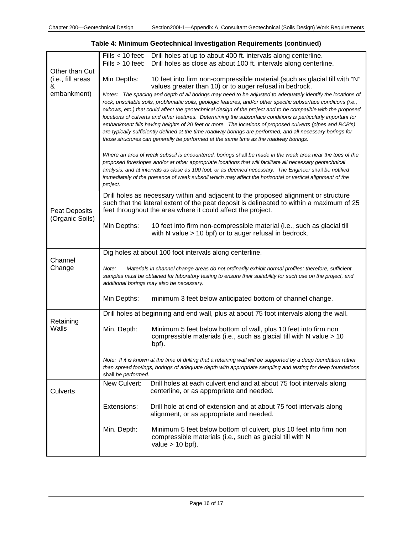|                                     | Fills $> 10$ feet:                                                                                                                                                                                                                                                       | Fills < 10 feet: Drill holes at up to about 400 ft. intervals along centerline.<br>Drill holes as close as about 100 ft. intervals along centerline.                                                                                                                                                                                                                                                                                                                                                                                                                                                                                                                                         |
|-------------------------------------|--------------------------------------------------------------------------------------------------------------------------------------------------------------------------------------------------------------------------------------------------------------------------|----------------------------------------------------------------------------------------------------------------------------------------------------------------------------------------------------------------------------------------------------------------------------------------------------------------------------------------------------------------------------------------------------------------------------------------------------------------------------------------------------------------------------------------------------------------------------------------------------------------------------------------------------------------------------------------------|
| Other than Cut<br>(i.e., fill areas | Min Depths:                                                                                                                                                                                                                                                              | 10 feet into firm non-compressible material (such as glacial till with "N"                                                                                                                                                                                                                                                                                                                                                                                                                                                                                                                                                                                                                   |
| &                                   |                                                                                                                                                                                                                                                                          | values greater than 10) or to auger refusal in bedrock.                                                                                                                                                                                                                                                                                                                                                                                                                                                                                                                                                                                                                                      |
| embankment)                         |                                                                                                                                                                                                                                                                          | Notes: The spacing and depth of all borings may need to be adjusted to adequately identify the locations of<br>rock, unsuitable soils, problematic soils, geologic features, and/or other specific subsurface conditions (i.e.,<br>oxbows, etc.) that could affect the geotechnical design of the project and to be compatible with the proposed<br>locations of culverts and other features. Determining the subsurface conditions is particularly important for<br>embankment fills having heights of 20 feet or more. The locations of proposed culverts (pipes and RCB's)<br>are typically sufficiently defined at the time roadway borings are performed, and all necessary borings for |
|                                     |                                                                                                                                                                                                                                                                          | those structures can generally be performed at the same time as the roadway borings.                                                                                                                                                                                                                                                                                                                                                                                                                                                                                                                                                                                                         |
|                                     | project.                                                                                                                                                                                                                                                                 | Where an area of weak subsoil is encountered, borings shall be made in the weak area near the toes of the<br>proposed foreslopes and/or at other appropriate locations that will facilitate all necessary geotechnical<br>analysis, and at intervals as close as 100 foot, or as deemed necessary. The Engineer shall be notified<br>immediately of the presence of weak subsoil which may affect the horizontal or vertical alignment of the                                                                                                                                                                                                                                                |
| Peat Deposits<br>(Organic Soils)    |                                                                                                                                                                                                                                                                          | Drill holes as necessary within and adjacent to the proposed alignment or structure<br>such that the lateral extent of the peat deposit is delineated to within a maximum of 25<br>feet throughout the area where it could affect the project.                                                                                                                                                                                                                                                                                                                                                                                                                                               |
|                                     | Min Depths:                                                                                                                                                                                                                                                              | 10 feet into firm non-compressible material (i.e., such as glacial till<br>with N value > 10 bpf) or to auger refusal in bedrock.                                                                                                                                                                                                                                                                                                                                                                                                                                                                                                                                                            |
| Channel                             |                                                                                                                                                                                                                                                                          | Dig holes at about 100 foot intervals along centerline.                                                                                                                                                                                                                                                                                                                                                                                                                                                                                                                                                                                                                                      |
| Change                              | Materials in channel change areas do not ordinarily exhibit normal profiles; therefore, sufficient<br>Note:<br>samples must be obtained for laboratory testing to ensure their suitability for such use on the project, and<br>additional borings may also be necessary. |                                                                                                                                                                                                                                                                                                                                                                                                                                                                                                                                                                                                                                                                                              |
|                                     | Min Depths:                                                                                                                                                                                                                                                              | minimum 3 feet below anticipated bottom of channel change.                                                                                                                                                                                                                                                                                                                                                                                                                                                                                                                                                                                                                                   |
| Retaining                           |                                                                                                                                                                                                                                                                          | Drill holes at beginning and end wall, plus at about 75 foot intervals along the wall.                                                                                                                                                                                                                                                                                                                                                                                                                                                                                                                                                                                                       |
| Walls                               | Min. Depth:                                                                                                                                                                                                                                                              | Minimum 5 feet below bottom of wall, plus 10 feet into firm non<br>compressible materials (i.e., such as glacial till with N value > 10<br>bpf).                                                                                                                                                                                                                                                                                                                                                                                                                                                                                                                                             |
|                                     | shall be performed.                                                                                                                                                                                                                                                      | Note: If it is known at the time of drilling that a retaining wall will be supported by a deep foundation rather<br>than spread footings, borings of adequate depth with appropriate sampling and testing for deep foundations                                                                                                                                                                                                                                                                                                                                                                                                                                                               |
| Culverts                            | New Culvert:                                                                                                                                                                                                                                                             | Drill holes at each culvert end and at about 75 foot intervals along<br>centerline, or as appropriate and needed.                                                                                                                                                                                                                                                                                                                                                                                                                                                                                                                                                                            |
|                                     | Extensions:                                                                                                                                                                                                                                                              | Drill hole at end of extension and at about 75 foot intervals along<br>alignment, or as appropriate and needed.                                                                                                                                                                                                                                                                                                                                                                                                                                                                                                                                                                              |
|                                     | Min. Depth:                                                                                                                                                                                                                                                              | Minimum 5 feet below bottom of culvert, plus 10 feet into firm non<br>compressible materials (i.e., such as glacial till with N<br>value $> 10$ bpf).                                                                                                                                                                                                                                                                                                                                                                                                                                                                                                                                        |

## **Table 4: Minimum Geotechnical Investigation Requirements (continued)**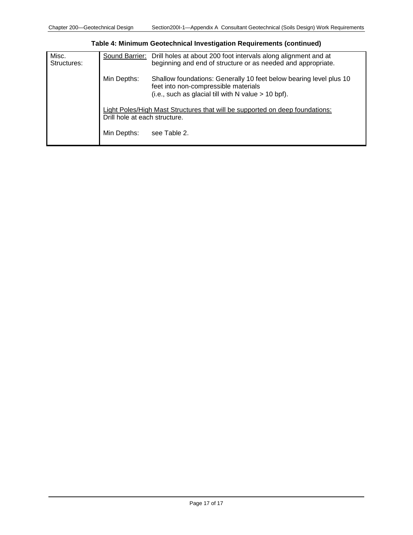| Misc.<br>Structures: | Sound Barrier:                | Drill holes at about 200 foot intervals along alignment and at<br>beginning and end of structure or as needed and appropriate.                                      |
|----------------------|-------------------------------|---------------------------------------------------------------------------------------------------------------------------------------------------------------------|
|                      | Min Depths:                   | Shallow foundations: Generally 10 feet below bearing level plus 10<br>feet into non-compressible materials<br>(i.e., such as glacial till with N value $> 10$ bpf). |
|                      | Drill hole at each structure. | Light Poles/High Mast Structures that will be supported on deep foundations:                                                                                        |
|                      | Min Depths:                   | see Table 2.                                                                                                                                                        |

**Table 4: Minimum Geotechnical Investigation Requirements (continued)**